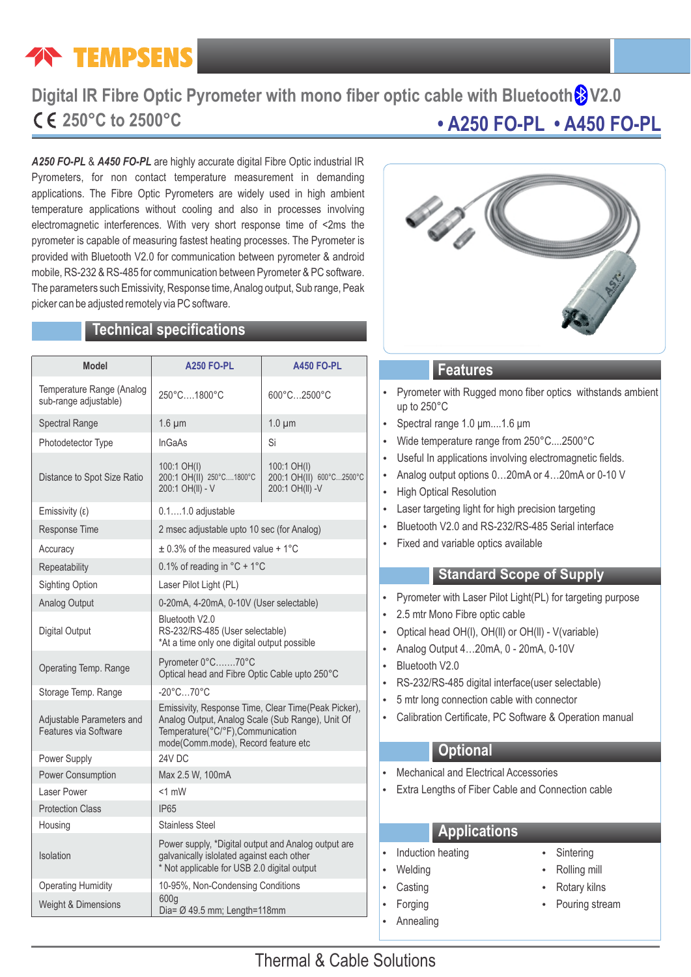# **TEMPSENS**

## **• A250 FO-PL • A450 FO-PL Digital IR Fibre Optic Pyrometer with mono fiber optic cable with Bluetooth 8 V2.0 250°C to 2500°C**

*A250 FO-PL* & *A450 FO-PL* are highly accurate digital Fibre Optic industrial IR Pyrometers, for non contact temperature measurement in demanding applications. The Fibre Optic Pyrometers are widely used in high ambient temperature applications without cooling and also in processes involving electromagnetic interferences. With very short response time of <2ms the pyrometer is capable of measuring fastest heating processes. The Pyrometer is provided with Bluetooth V2.0 for communication between pyrometer & android mobile, RS-232 & RS-485 for communication between Pyrometer & PC software. The parameters such Emissivity, Response time, Analog output, Sub range, Peak picker can be adjusted remotely via PC software.

## **Technical specifications**

| <b>Model</b>                                       | <b>A250 FO-PL</b>                                                                                                                                                                   | <b>A450 FO-PL</b>                                          |  |  |  |  |
|----------------------------------------------------|-------------------------------------------------------------------------------------------------------------------------------------------------------------------------------------|------------------------------------------------------------|--|--|--|--|
| Temperature Range (Analog<br>sub-range adjustable) | 250°C1800°C                                                                                                                                                                         | 600°C2500°C                                                |  |  |  |  |
| <b>Spectral Range</b>                              | $1.6 \mu m$                                                                                                                                                                         | $1.0 \mu m$                                                |  |  |  |  |
| Photodetector Type                                 | InGaAs                                                                                                                                                                              | Si                                                         |  |  |  |  |
| Distance to Spot Size Ratio                        | 100:1 OH(I)<br>200:1 OH(II) 250°C1800°C<br>200:1 OH(II) - V                                                                                                                         | 100:1 OH(I)<br>200:1 OH(II) 600°C2500°C<br>200:1 OH(II) -V |  |  |  |  |
| Emissivity (ε)                                     | $0.11.0$ adjustable                                                                                                                                                                 |                                                            |  |  |  |  |
| Response Time                                      | 2 msec adjustable upto 10 sec (for Analog)                                                                                                                                          |                                                            |  |  |  |  |
| Accuracy                                           | $\pm$ 0.3% of the measured value + 1°C                                                                                                                                              |                                                            |  |  |  |  |
| Repeatability                                      | 0.1% of reading in $^{\circ}$ C + 1 $^{\circ}$ C                                                                                                                                    |                                                            |  |  |  |  |
| <b>Sighting Option</b>                             | Laser Pilot Light (PL)                                                                                                                                                              |                                                            |  |  |  |  |
| Analog Output                                      | 0-20mA, 4-20mA, 0-10V (User selectable)                                                                                                                                             |                                                            |  |  |  |  |
| Digital Output                                     | Bluetooth V2.0<br>RS-232/RS-485 (User selectable)<br>*At a time only one digital output possible                                                                                    |                                                            |  |  |  |  |
| Operating Temp. Range                              | Pyrometer 0°C70°C<br>Optical head and Fibre Optic Cable upto 250°C                                                                                                                  |                                                            |  |  |  |  |
| Storage Temp. Range                                | $-20^{\circ}$ C70 $^{\circ}$ C                                                                                                                                                      |                                                            |  |  |  |  |
| Adjustable Parameters and<br>Features via Software | Emissivity, Response Time, Clear Time(Peak Picker),<br>Analog Output, Analog Scale (Sub Range), Unit Of<br>Temperature(°C/°F), Communication<br>mode(Comm.mode), Record feature etc |                                                            |  |  |  |  |
| Power Supply                                       | 24V DC                                                                                                                                                                              |                                                            |  |  |  |  |
| Power Consumption                                  | Max 2.5 W, 100mA                                                                                                                                                                    |                                                            |  |  |  |  |
| Laser Power                                        | $< 1$ mW                                                                                                                                                                            |                                                            |  |  |  |  |
| <b>Protection Class</b>                            | <b>IP65</b>                                                                                                                                                                         |                                                            |  |  |  |  |
| Housing                                            | Stainless Steel                                                                                                                                                                     |                                                            |  |  |  |  |
| Isolation                                          | Power supply, *Digital output and Analog output are<br>galvanically islolated against each other<br>* Not applicable for USB 2.0 digital output                                     |                                                            |  |  |  |  |
| <b>Operating Humidity</b>                          | 10-95%, Non-Condensing Conditions                                                                                                                                                   |                                                            |  |  |  |  |
| Weight & Dimensions                                | 600g<br>Dia= $\varnothing$ 49.5 mm; Length=118mm                                                                                                                                    |                                                            |  |  |  |  |



### **Features**

- Pyrometer with Rugged mono fiber optics withstands ambient up to 250°C
- Spectral range 1.0 μm....1.6 μm
- Wide temperature range from 250°C....2500°C
- Useful In applications involving electromagnetic fields.
- Analog output options 0...20mA or 4...20mA or 0-10 V
- High Optical Resolution
- Laser targeting light for high precision targeting
- Bluetooth V2.0 and RS-232/RS-485 Serial interface
- Fixed and variable optics available

#### **Standard Scope of Supply**

- Pyrometer with Laser Pilot Light(PL) for targeting purpose
- 2.5 mtr Mono Fibre optic cable
- Optical head OH(I), OH(II) or OH(II) V(variable)
- Analog Output 4...20mA, 0 20mA, 0-10V
- Bluetooth V2.0
- RS-232/RS-485 digital interface(user selectable)
- 5 mtr long connection cable with connector
- Calibration Certificate, PC Software & Operation manual

## **Optional**

- **Mechanical and Electrical Accessories**
- Extra Lengths of Fiber Cable and Connection cable

## **Applications**

- Induction heating **Theorem Sintering** 
	-
- 
- 
- Annealing
- 
- Welding **Welding Welding Welding Welding**
- Casting **Casting Casting Casting Casting Casting Casting Casting Casting Casting Casting Casting Casting Casti**
- Forging Torging The Pouring stream

## Thermal & Cable Solutions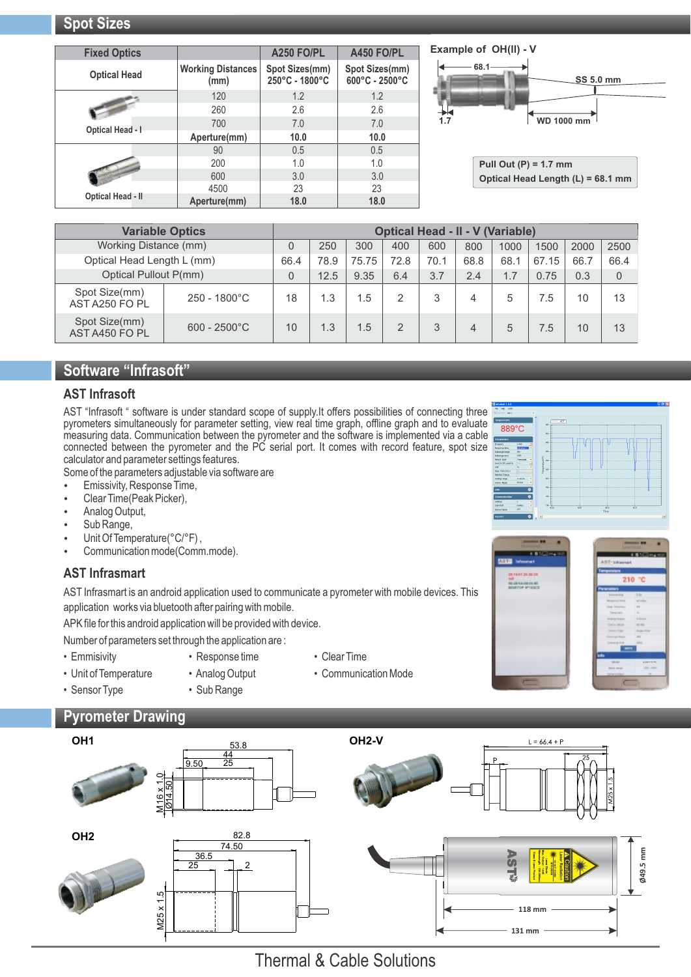| <b>Fixed Optics</b>      |                                  | A250 FO/PL                       | A450 FO/PL                       |
|--------------------------|----------------------------------|----------------------------------|----------------------------------|
| <b>Optical Head</b>      | <b>Working Distances</b><br>(mm) | Spot Sizes(mm)<br>250°C - 1800°C | Spot Sizes(mm)<br>600°C - 2500°C |
|                          | 120                              | 1.2                              | 1.2                              |
|                          | 260                              | 2.6                              | 2.6                              |
| <b>Optical Head - I</b>  | 700                              | 7.0                              | 7.0                              |
|                          | Aperture(mm)                     | 10.0                             | 10.0                             |
|                          | 90                               | 0.5                              | 0.5                              |
|                          | 200                              | 1.0                              | 1.0                              |
|                          | 600                              | 3.0                              | 3.0                              |
|                          | 4500                             | 23                               | 23                               |
| <b>Optical Head - II</b> | Aperture(mm)                     | 18.0                             | 18.0                             |

#### **Example of OH(ll) - V**



**Pull Out (P) = 1.7 mm Optical Head Length (L) = 68.1 mm**

|                                 | <b>Variable Optics</b> | <b>Optical Head - II - V (Variable)</b> |      |       |               |      |      |      |       |      |      |
|---------------------------------|------------------------|-----------------------------------------|------|-------|---------------|------|------|------|-------|------|------|
| Working Distance (mm)           |                        |                                         | 250  | 300   | 400           | 600  | 800  | 1000 | 1500  | 2000 | 2500 |
| Optical Head Length L (mm)      |                        | 66.4                                    | 78.9 | 75.75 | 72.8          | 70.1 | 68.8 | 68.1 | 67.15 | 66.7 | 66.4 |
| Optical Pullout P(mm)           |                        | 0                                       | 12.5 | 9.35  | 6.4           | 3.7  | 2.4  | 1.7  | 0.75  | 0.3  | 0    |
| Spot Size(mm)<br>AST A250 FO PL | $250 - 1800^{\circ}$ C | 18                                      | 1.3  | 1.5   | 2             | 3    | 4    | 5    | 7.5   | 10   | 13   |
| Spot Size(mm)<br>AST A450 FO PL | $600 - 2500^{\circ}$ C | 10                                      | 1.3  | 1.5   | $\mathcal{P}$ | 3    | 4    | 5    | 7.5   | 10   | 13   |

## **Software "Infrasoft"**

#### **AST Infrasoft**

AST "Infrasoft " software is under standard scope of supply.It offers possibilities of connecting three pyrometers simultaneously for parameter setting, view real time graph, offline graph and to evaluate measuring data. Communication between the pyrometer and the software is implemented via a cable connected between the pyrometer and the PC serial port. It comes with record feature, spot size calculator and parameter settings features.

Some of the parameters adjustable via software are

- Emissivity, Response Time,
- Clear Time(Peak Picker),
- Analog Output,
- Sub Range,
- Unit Of Temperature(°C/°F),
- Communication mode(Comm.mode).

#### **AST Infrasmart**

AST Infrasmart is an android application used to communicate a pyrometer with mobile devices. This application works via bluetooth after pairing with mobile.

APK file for this android application will be provided with device.

Number of parameters set through the application are :

- 
- 
- Emmisivity Response time Clear Time
- 
- 
- 
- Unit of Temperature Analog Output Communication Mode
- Sensor Type Sub Range

## **Pyrometer Drawing**





**A250 FO PL**